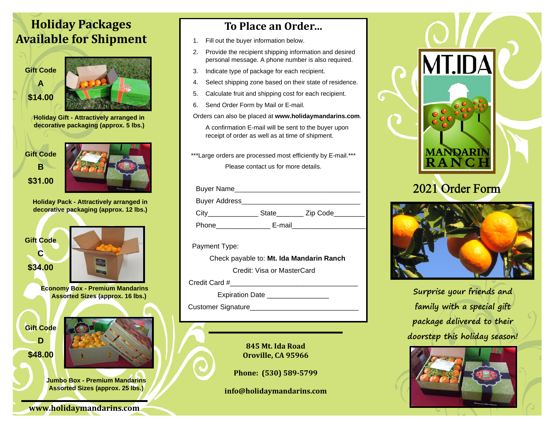## **Holiday Packages Available for Shipment**



**\$14.00** 



**Holiday Gift - Attractively arranged in decorative packaging (approx. 5 lbs.)** 

**Gift Code B** 

**\$31.00** 



**Holiday Pack - Attractively arranged in decorative packaging (approx. 12 lbs.)** 



**C** 

**\$34.00** 

**D** 



**Jumbo Box - Premium Mandarins Assorted Sizes (approx. 25 lbs.)** 

**www.holidaymandarins.com** 

## **To Place an Order…**

- 1. Fill out the buyer information below.
- 2. Provide the recipient shipping information and desired personal message. A phone number is also required.
- 3. Indicate type of package for each recipient.
- 4. Select shipping zone based on their state of residence.
- 5. Calculate fruit and shipping cost for each recipient.
- 6. Send Order Form by Mail or E-mail.

Orders can also be placed at **www.holidaymandarins.com**.

A confirmation E-mail will be sent to the buyer upon receipt of order as well as at time of shipment.

\*\*\*Large orders are processed most efficiently by E-mail.\*\*\*

Please contact us for more details.

| <b>Buyer Name</b>    |              |          |
|----------------------|--------------|----------|
| <b>Buyer Address</b> |              |          |
| City                 | <b>State</b> | Zip Code |
| Phone                | E-mail       |          |

Payment Type:

 Check payable to: **Mt. Ida Mandarin Ranch** Credit: Visa or MasterCard

Credit Card #

Expiration Date

Customer Signature\_\_\_\_\_\_\_\_\_\_\_\_\_\_\_\_\_\_\_\_\_\_\_\_\_\_\_\_

**845 Mt. Ida Road Oroville, CA 95966** 

**Phone: (530) 589-5799** 

**info@holidaymandarins.com** 



 $\mathsf{G}$ 



**Surprise your friends and family with a special gift package delivered to their doorstep this holiday season!**